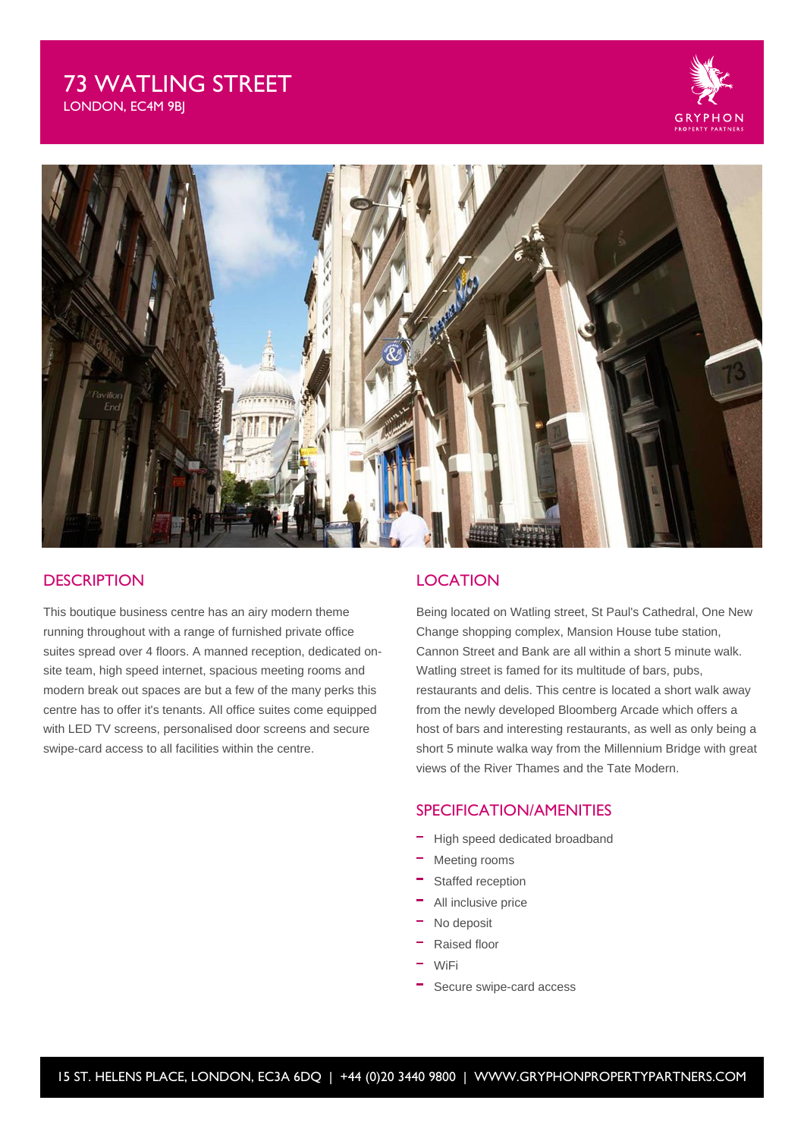# 73 WATLING STREET

LONDON, EC4M 9BJ





## **DESCRIPTION**

This boutique business centre has an airy modern theme running throughout with a range of furnished private office suites spread over 4 floors. A manned reception, dedicated onsite team, high speed internet, spacious meeting rooms and modern break out spaces are but a few of the many perks this centre has to offer it's tenants. All office suites come equipped with LED TV screens, personalised door screens and secure swipe-card access to all facilities within the centre.

## **LOCATION**

Being located on Watling street, St Paul's Cathedral, One New Change shopping complex, Mansion House tube station, Cannon Street and Bank are all within a short 5 minute walk. Watling street is famed for its multitude of bars, pubs, restaurants and delis. This centre is located a short walk away from the newly developed Bloomberg Arcade which offers a host of bars and interesting restaurants, as well as only being a short 5 minute walka way from the Millennium Bridge with great views of the River Thames and the Tate Modern.

### SPECIFICATION/AMENITIES

- High speed dedicated broadband
- Meeting rooms
- Staffed reception
- All inclusive price
- No deposit
- Raised floor
- WiFi
- Secure swipe-card access